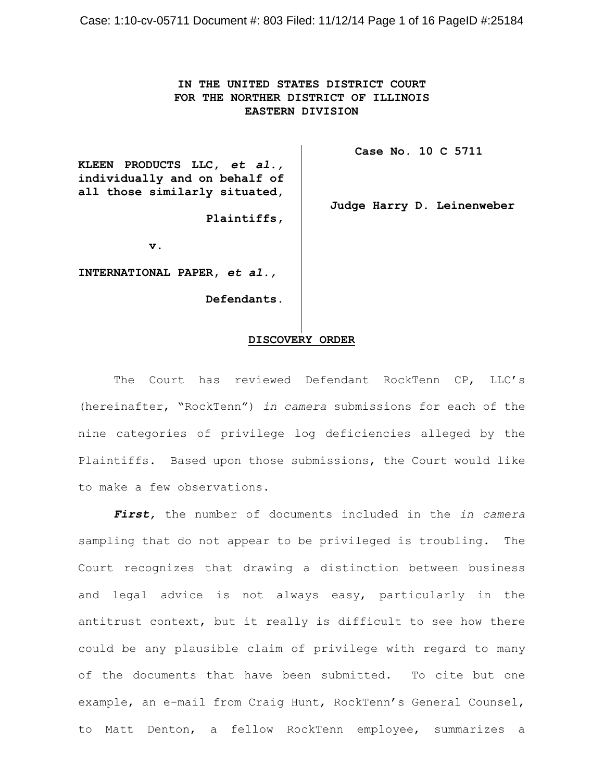# **IN THE UNITED STATES DISTRICT COURT FOR THE NORTHER DISTRICT OF ILLINOIS EASTERN DIVISION**

**KLEEN PRODUCTS LLC,** *et al.,* **individually and on behalf of all those similarly situated,**

 **Plaintiffs,**

**v.**

**INTERNATIONAL PAPER,** *et al.,*

 **Defendants.**

# **DISCOVERY ORDER**

The Court has reviewed Defendant RockTenn CP, LLC's (hereinafter, "RockTenn") *in camera* submissions for each of the nine categories of privilege log deficiencies alleged by the Plaintiffs. Based upon those submissions, the Court would like to make a few observations.

*First,* the number of documents included in the *in camera* sampling that do not appear to be privileged is troubling. The Court recognizes that drawing a distinction between business and legal advice is not always easy, particularly in the antitrust context, but it really is difficult to see how there could be any plausible claim of privilege with regard to many of the documents that have been submitted. To cite but one example, an e-mail from Craig Hunt, RockTenn's General Counsel, to Matt Denton, a fellow RockTenn employee, summarizes a

**Case No. 10 C 5711** 

**Judge Harry D. Leinenweber**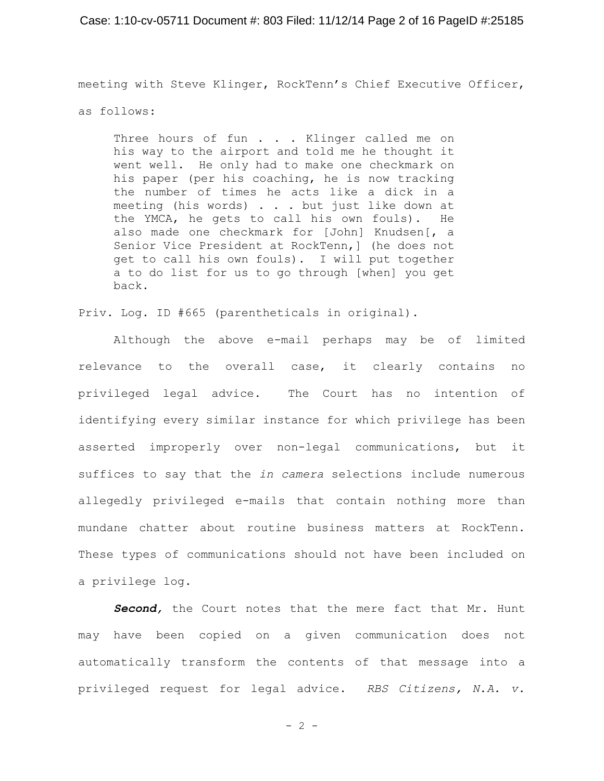#### Case: 1:10-cv-05711 Document #: 803 Filed: 11/12/14 Page 2 of 16 PageID #:25185

meeting with Steve Klinger, RockTenn's Chief Executive Officer,

as follows:

Three hours of fun . . . Klinger called me on his way to the airport and told me he thought it went well. He only had to make one checkmark on his paper (per his coaching, he is now tracking the number of times he acts like a dick in a meeting (his words) . . . but just like down at the YMCA, he gets to call his own fouls). He also made one checkmark for [John] Knudsen[, a Senior Vice President at RockTenn,] (he does not get to call his own fouls). I will put together a to do list for us to go through [when] you get back.

Priv. Log. ID #665 (parentheticals in original).

Although the above e-mail perhaps may be of limited relevance to the overall case, it clearly contains no privileged legal advice. The Court has no intention of identifying every similar instance for which privilege has been asserted improperly over non-legal communications, but it suffices to say that the *in camera* selections include numerous allegedly privileged e-mails that contain nothing more than mundane chatter about routine business matters at RockTenn. These types of communications should not have been included on a privilege log.

*Second,* the Court notes that the mere fact that Mr. Hunt may have been copied on a given communication does not automatically transform the contents of that message into a privileged request for legal advice. *RBS Citizens, N.A. v.*

 $- 2 -$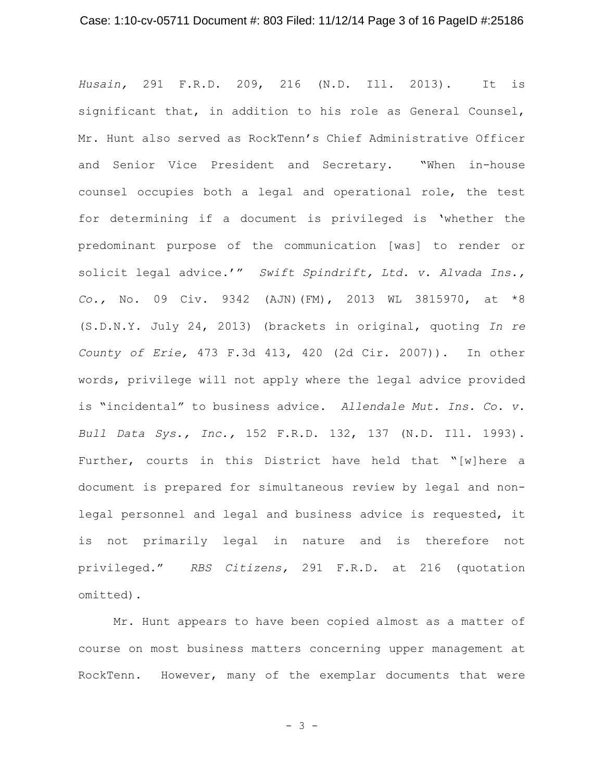### Case: 1:10-cv-05711 Document #: 803 Filed: 11/12/14 Page 3 of 16 PageID #:25186

*Husain,* 291 F.R.D. 209, 216 (N.D. Ill. 2013). It is significant that, in addition to his role as General Counsel, Mr. Hunt also served as RockTenn's Chief Administrative Officer and Senior Vice President and Secretary. "When in-house counsel occupies both a legal and operational role, the test for determining if a document is privileged is 'whether the predominant purpose of the communication [was] to render or solicit legal advice.'" *Swift Spindrift, Ltd. v. Alvada Ins., Co.,* No. 09 Civ. 9342 (AJN)(FM), 2013 WL 3815970, at \*8 (S.D.N.Y. July 24, 2013) (brackets in original, quoting *In re County of Erie,* 473 F.3d 413, 420 (2d Cir. 2007)). In other words, privilege will not apply where the legal advice provided is "incidental" to business advice. *Allendale Mut. Ins. Co. v. Bull Data Sys., Inc.,* 152 F.R.D. 132, 137 (N.D. Ill. 1993). Further, courts in this District have held that "[w]here a document is prepared for simultaneous review by legal and nonlegal personnel and legal and business advice is requested, it is not primarily legal in nature and is therefore not privileged." *RBS Citizens,* 291 F.R.D. at 216 (quotation omitted).

Mr. Hunt appears to have been copied almost as a matter of course on most business matters concerning upper management at RockTenn. However, many of the exemplar documents that were

- 3 -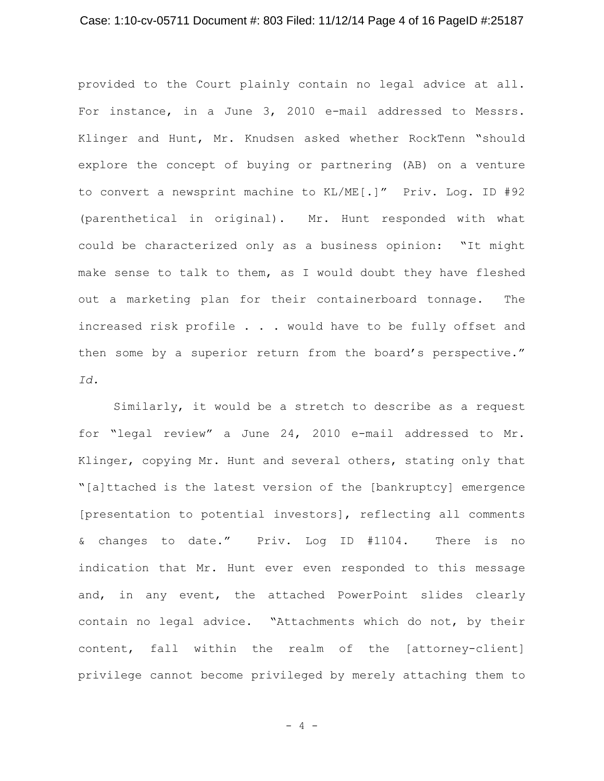### Case: 1:10-cv-05711 Document #: 803 Filed: 11/12/14 Page 4 of 16 PageID #:25187

provided to the Court plainly contain no legal advice at all. For instance, in a June 3, 2010 e-mail addressed to Messrs. Klinger and Hunt, Mr. Knudsen asked whether RockTenn "should explore the concept of buying or partnering (AB) on a venture to convert a newsprint machine to KL/ME[.]" Priv. Log. ID #92 (parenthetical in original). Mr. Hunt responded with what could be characterized only as a business opinion: "It might make sense to talk to them, as I would doubt they have fleshed out a marketing plan for their containerboard tonnage. The increased risk profile . . . would have to be fully offset and then some by a superior return from the board's perspective." *Id.*

Similarly, it would be a stretch to describe as a request for "legal review" a June 24, 2010 e-mail addressed to Mr. Klinger, copying Mr. Hunt and several others, stating only that "[a]ttached is the latest version of the [bankruptcy] emergence [presentation to potential investors], reflecting all comments & changes to date." Priv. Log ID #1104. There is no indication that Mr. Hunt ever even responded to this message and, in any event, the attached PowerPoint slides clearly contain no legal advice. "Attachments which do not, by their content, fall within the realm of the [attorney-client] privilege cannot become privileged by merely attaching them to

- 4 -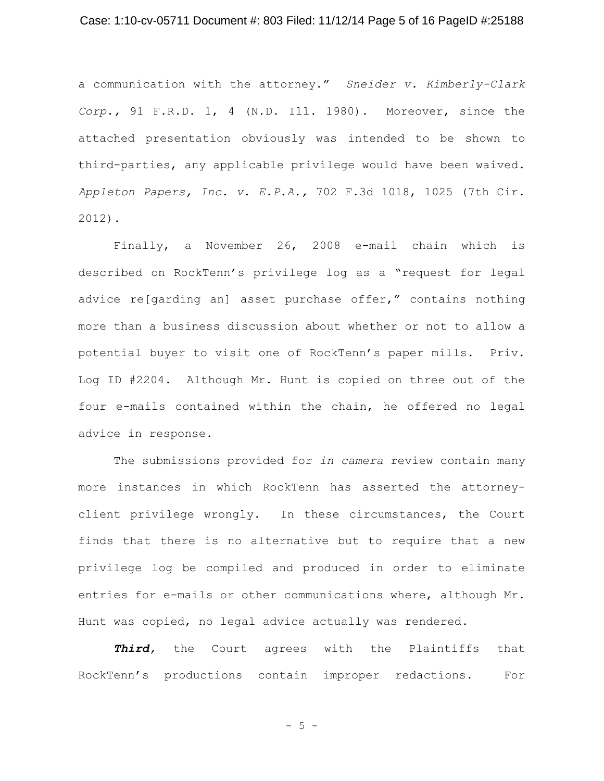### Case: 1:10-cv-05711 Document #: 803 Filed: 11/12/14 Page 5 of 16 PageID #:25188

a communication with the attorney." *Sneider v. Kimberly-Clark Corp.,* 91 F.R.D. 1, 4 (N.D. Ill. 1980). Moreover, since the attached presentation obviously was intended to be shown to third-parties, any applicable privilege would have been waived. *Appleton Papers, Inc. v. E.P.A.,* 702 F.3d 1018, 1025 (7th Cir. 2012).

Finally, a November 26, 2008 e-mail chain which is described on RockTenn's privilege log as a "request for legal advice re[garding an] asset purchase offer," contains nothing more than a business discussion about whether or not to allow a potential buyer to visit one of RockTenn's paper mills. Priv. Log ID #2204. Although Mr. Hunt is copied on three out of the four e-mails contained within the chain, he offered no legal advice in response.

The submissions provided for *in camera* review contain many more instances in which RockTenn has asserted the attorneyclient privilege wrongly. In these circumstances, the Court finds that there is no alternative but to require that a new privilege log be compiled and produced in order to eliminate entries for e-mails or other communications where, although Mr. Hunt was copied, no legal advice actually was rendered.

*Third,* the Court agrees with the Plaintiffs that RockTenn's productions contain improper redactions. For

 $-5 -$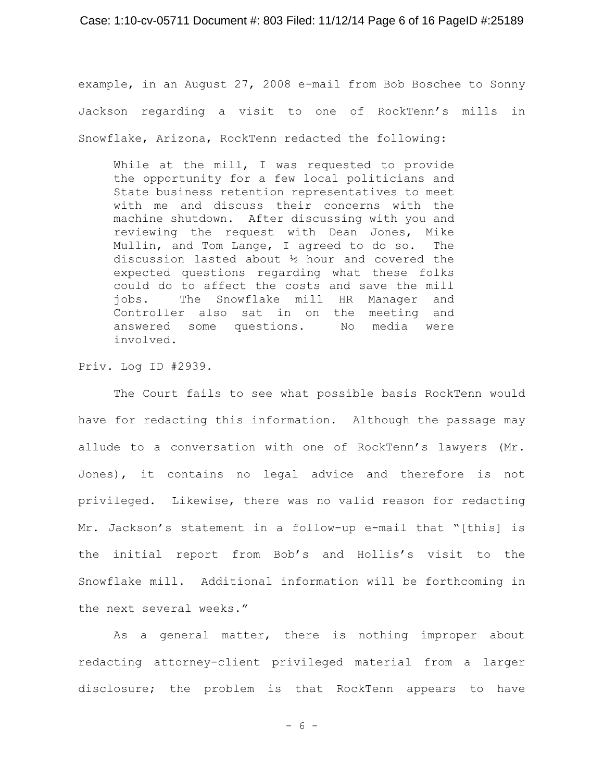#### Case: 1:10-cv-05711 Document #: 803 Filed: 11/12/14 Page 6 of 16 PageID #:25189

example, in an August 27, 2008 e-mail from Bob Boschee to Sonny Jackson regarding a visit to one of RockTenn's mills in Snowflake, Arizona, RockTenn redacted the following:

While at the mill, I was requested to provide the opportunity for a few local politicians and State business retention representatives to meet with me and discuss their concerns with the machine shutdown. After discussing with you and reviewing the request with Dean Jones, Mike Mullin, and Tom Lange, I agreed to do so. The discussion lasted about ½ hour and covered the expected questions regarding what these folks could do to affect the costs and save the mill jobs. The Snowflake mill HR Manager and Controller also sat in on the meeting and answered some questions. No media were involved.

Priv. Log ID #2939.

The Court fails to see what possible basis RockTenn would have for redacting this information. Although the passage may allude to a conversation with one of RockTenn's lawyers (Mr. Jones), it contains no legal advice and therefore is not privileged. Likewise, there was no valid reason for redacting Mr. Jackson's statement in a follow-up e-mail that "[this] is the initial report from Bob's and Hollis's visit to the Snowflake mill. Additional information will be forthcoming in the next several weeks."

As a general matter, there is nothing improper about redacting attorney-client privileged material from a larger disclosure; the problem is that RockTenn appears to have

- 6 -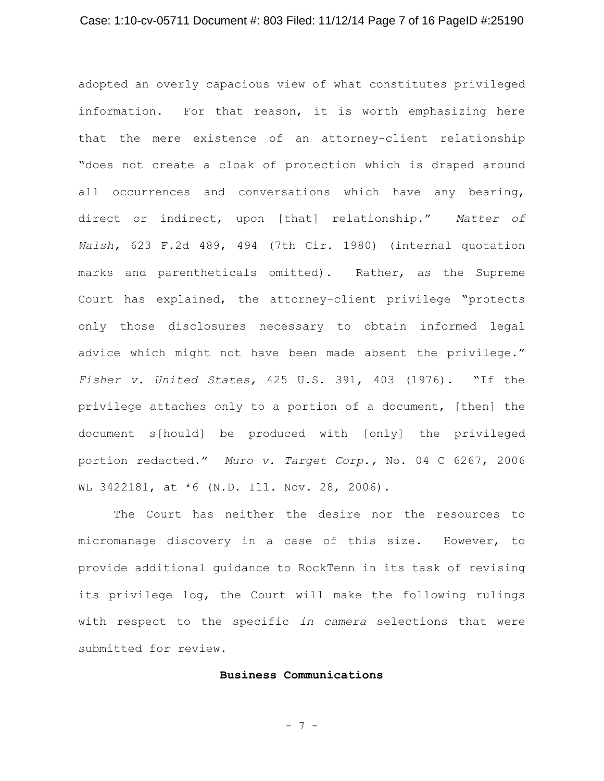### Case: 1:10-cv-05711 Document #: 803 Filed: 11/12/14 Page 7 of 16 PageID #:25190

adopted an overly capacious view of what constitutes privileged information. For that reason, it is worth emphasizing here that the mere existence of an attorney-client relationship "does not create a cloak of protection which is draped around all occurrences and conversations which have any bearing, direct or indirect, upon [that] relationship." *Matter of Walsh,* 623 F.2d 489, 494 (7th Cir. 1980) (internal quotation marks and parentheticals omitted). Rather, as the Supreme Court has explained, the attorney-client privilege "protects only those disclosures necessary to obtain informed legal advice which might not have been made absent the privilege." *Fisher v. United States,* 425 U.S. 391, 403 (1976). "If the privilege attaches only to a portion of a document, [then] the document s[hould] be produced with [only] the privileged portion redacted." *Muro v. Target Corp.,* No. 04 C 6267, 2006 WL 3422181, at \*6 (N.D. Ill. Nov. 28, 2006).

The Court has neither the desire nor the resources to micromanage discovery in a case of this size. However, to provide additional guidance to RockTenn in its task of revising its privilege log, the Court will make the following rulings with respect to the specific *in camera* selections that were submitted for review.

### **Business Communications**

- 7 -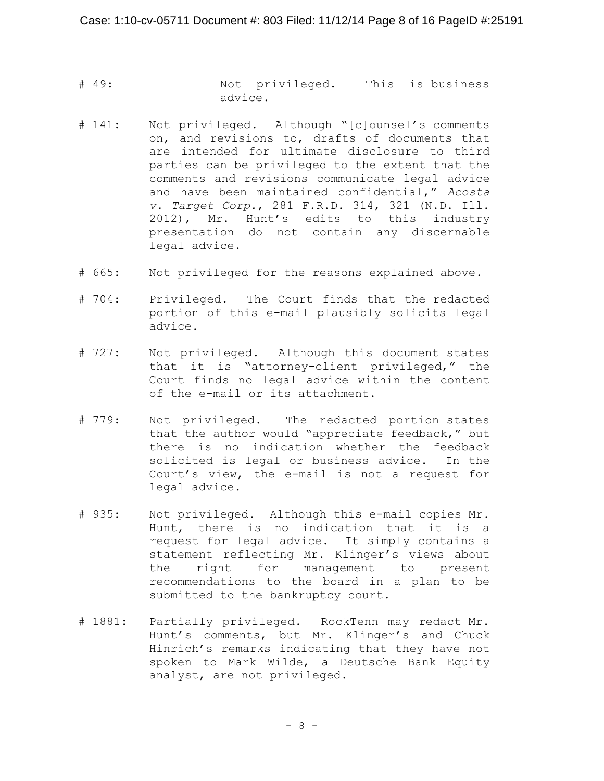- # 49: Not privileged. This is business advice.
- # 141: Not privileged. Although "[c]ounsel's comments on, and revisions to, drafts of documents that are intended for ultimate disclosure to third parties can be privileged to the extent that the comments and revisions communicate legal advice and have been maintained confidential," *Acosta v. Target Corp.*, 281 F.R.D. 314, 321 (N.D. Ill. 2012), Mr. Hunt's edits to this industry presentation do not contain any discernable legal advice.
- # 665: Not privileged for the reasons explained above.
- # 704: Privileged. The Court finds that the redacted portion of this e-mail plausibly solicits legal advice.
- # 727: Not privileged. Although this document states that it is "attorney-client privileged," the Court finds no legal advice within the content of the e-mail or its attachment.
- # 779: Not privileged. The redacted portion states that the author would "appreciate feedback," but there is no indication whether the feedback solicited is legal or business advice. In the Court's view, the e-mail is not a request for legal advice.
- # 935: Not privileged. Although this e-mail copies Mr. Hunt, there is no indication that it is a request for legal advice. It simply contains a statement reflecting Mr. Klinger's views about the right for management to present recommendations to the board in a plan to be submitted to the bankruptcy court.
- # 1881: Partially privileged. RockTenn may redact Mr. Hunt's comments, but Mr. Klinger's and Chuck Hinrich's remarks indicating that they have not spoken to Mark Wilde, a Deutsche Bank Equity analyst, are not privileged.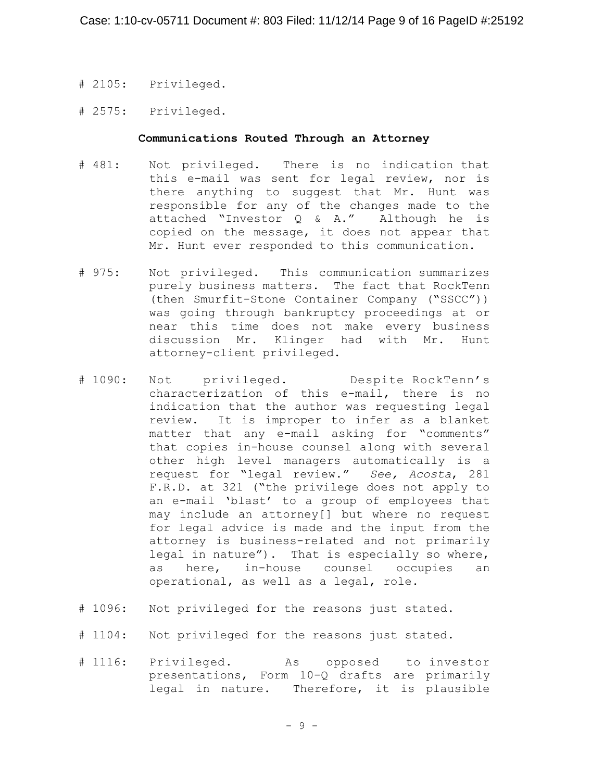- # 2105: Privileged.
- # 2575: Privileged.

### **Communications Routed Through an Attorney**

- # 481: Not privileged. There is no indication that this e-mail was sent for legal review, nor is there anything to suggest that Mr. Hunt was responsible for any of the changes made to the attached "Investor Q & A." Although he is copied on the message, it does not appear that Mr. Hunt ever responded to this communication.
- # 975: Not privileged. This communication summarizes purely business matters. The fact that RockTenn (then Smurfit-Stone Container Company ("SSCC")) was going through bankruptcy proceedings at or near this time does not make every business discussion Mr. Klinger had with Mr. Hunt attorney-client privileged.
- # 1090: Not privileged. Despite RockTenn's characterization of this e-mail, there is no indication that the author was requesting legal review. It is improper to infer as a blanket matter that any e-mail asking for "comments" that copies in-house counsel along with several other high level managers automatically is a request for "legal review." *See, Acosta*, 281 F.R.D. at 321 ("the privilege does not apply to an e-mail 'blast' to a group of employees that may include an attorney[] but where no request for legal advice is made and the input from the attorney is business-related and not primarily legal in nature"). That is especially so where, as here, in-house counsel occupies an operational, as well as a legal, role.
- # 1096: Not privileged for the reasons just stated.
- # 1104: Not privileged for the reasons just stated.
- # 1116: Privileged. As opposed to investor presentations, Form 10-Q drafts are primarily legal in nature. Therefore, it is plausible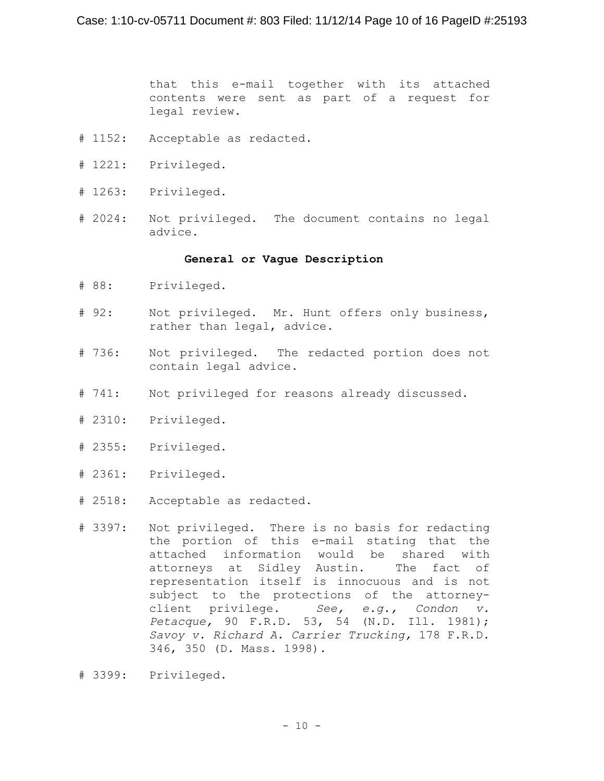that this e-mail together with its attached contents were sent as part of a request for legal review.

- # 1152: Acceptable as redacted.
- # 1221: Privileged.
- # 1263: Privileged.
- # 2024: Not privileged. The document contains no legal advice.

#### **General or Vague Description**

- # 88: Privileged.
- # 92: Not privileged. Mr. Hunt offers only business, rather than legal, advice.
- # 736: Not privileged. The redacted portion does not contain legal advice.
- # 741: Not privileged for reasons already discussed.
- # 2310: Privileged.
- # 2355: Privileged.
- # 2361: Privileged.
- # 2518: Acceptable as redacted.
- # 3397: Not privileged. There is no basis for redacting the portion of this e-mail stating that the attached information would be shared with attorneys at Sidley Austin. The fact of representation itself is innocuous and is not subject to the protections of the attorneyclient privilege. *See, e.g., Condon v. Petacque,* 90 F.R.D. 53, 54 (N.D. Ill. 1981); *Savoy v. Richard A. Carrier Trucking,* 178 F.R.D. 346, 350 (D. Mass. 1998).
- # 3399: Privileged.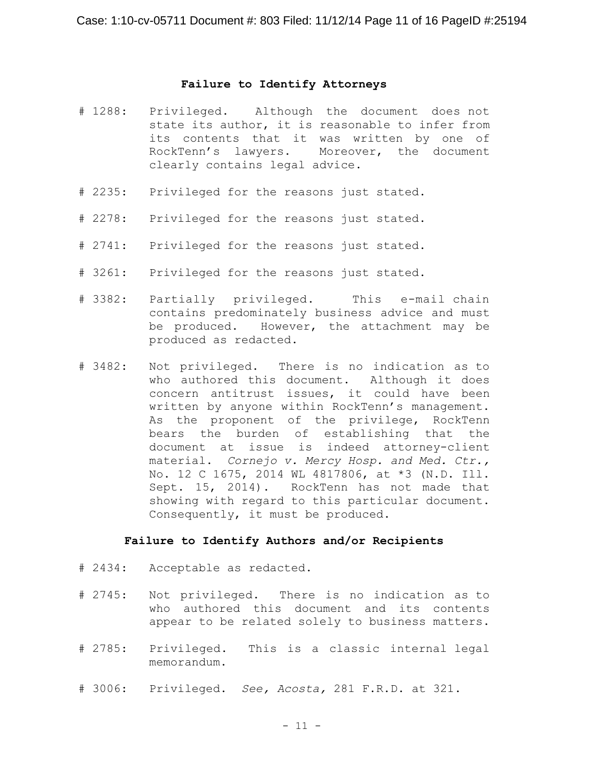#### **Failure to Identify Attorneys**

- # 1288: Privileged. Although the document does not state its author, it is reasonable to infer from its contents that it was written by one of RockTenn's lawyers. Moreover, the document clearly contains legal advice.
- # 2235: Privileged for the reasons just stated.
- # 2278: Privileged for the reasons just stated.
- # 2741: Privileged for the reasons just stated.
- # 3261: Privileged for the reasons just stated.
- # 3382: Partially privileged. This e-mail chain contains predominately business advice and must be produced. However, the attachment may be produced as redacted.
- # 3482: Not privileged. There is no indication as to who authored this document. Although it does concern antitrust issues, it could have been written by anyone within RockTenn's management. As the proponent of the privilege, RockTenn bears the burden of establishing that the document at issue is indeed attorney-client material. *Cornejo v. Mercy Hosp. and Med. Ctr.,* No. 12 C 1675, 2014 WL 4817806, at \*3 (N.D. Ill. Sept. 15, 2014). RockTenn has not made that showing with regard to this particular document. Consequently, it must be produced.

#### **Failure to Identify Authors and/or Recipients**

- # 2434: Acceptable as redacted.
- # 2745: Not privileged. There is no indication as to who authored this document and its contents appear to be related solely to business matters.
- # 2785: Privileged. This is a classic internal legal memorandum.
- # 3006: Privileged. *See, Acosta,* 281 F.R.D. at 321.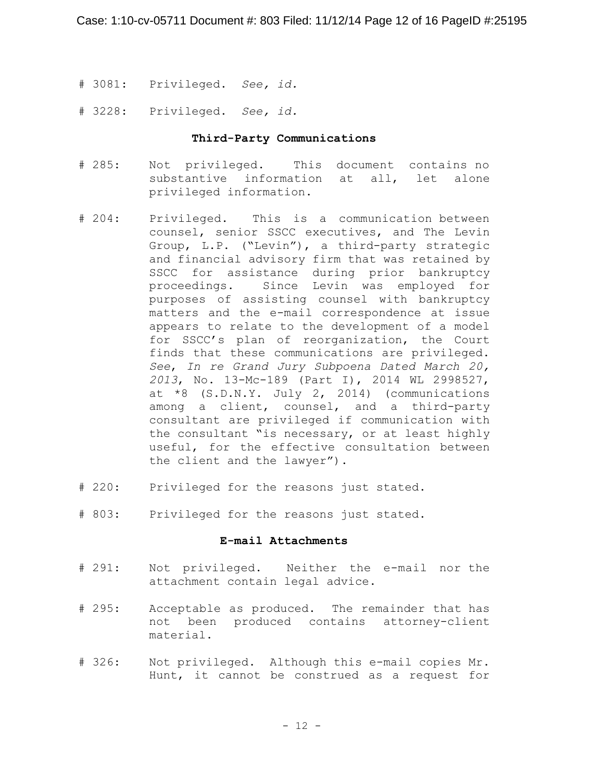- # 3081: Privileged. *See, id.*
- # 3228: Privileged. *See, id.*

# **Third-Party Communications**

- # 285: Not privileged. This document contains no substantive information at all, let alone privileged information.
- # 204: Privileged. This is a communication between counsel, senior SSCC executives, and The Levin Group, L.P. ("Levin"), a third-party strategic and financial advisory firm that was retained by SSCC for assistance during prior bankruptcy proceedings. Since Levin was employed for purposes of assisting counsel with bankruptcy matters and the e-mail correspondence at issue appears to relate to the development of a model for SSCC's plan of reorganization, the Court finds that these communications are privileged. *See*, *In re Grand Jury Subpoena Dated March 20, 2013*, No. 13-Mc-189 (Part I), 2014 WL 2998527, at \*8 (S.D.N.Y. July 2, 2014) (communications among a client, counsel, and a third-party consultant are privileged if communication with the consultant "is necessary, or at least highly useful, for the effective consultation between the client and the lawyer").
- # 220: Privileged for the reasons just stated.
- # 803: Privileged for the reasons just stated.

# **E-mail Attachments**

- # 291: Not privileged. Neither the e-mail nor the attachment contain legal advice.
- # 295: Acceptable as produced. The remainder that has not been produced contains attorney-client material.
- # 326: Not privileged. Although this e-mail copies Mr. Hunt, it cannot be construed as a request for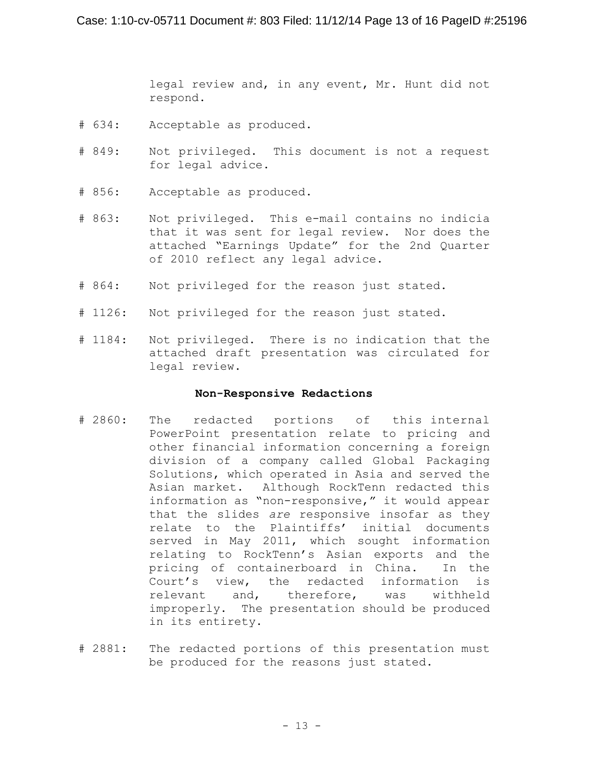legal review and, in any event, Mr. Hunt did not respond.

- # 634: Acceptable as produced.
- # 849: Not privileged. This document is not a request for legal advice.
- # 856: Acceptable as produced.
- # 863: Not privileged. This e-mail contains no indicia that it was sent for legal review. Nor does the attached "Earnings Update" for the 2nd Quarter of 2010 reflect any legal advice.
- # 864: Not privileged for the reason just stated.
- # 1126: Not privileged for the reason just stated.
- # 1184: Not privileged. There is no indication that the attached draft presentation was circulated for legal review.

### **Non-Responsive Redactions**

- # 2860: The redacted portions of this internal PowerPoint presentation relate to pricing and other financial information concerning a foreign division of a company called Global Packaging Solutions, which operated in Asia and served the Asian market. Although RockTenn redacted this information as "non-responsive," it would appear that the slides *are* responsive insofar as they relate to the Plaintiffs' initial documents served in May 2011, which sought information relating to RockTenn's Asian exports and the pricing of containerboard in China. In the Court's view, the redacted information is relevant and, therefore, was withheld improperly. The presentation should be produced in its entirety.
- # 2881: The redacted portions of this presentation must be produced for the reasons just stated.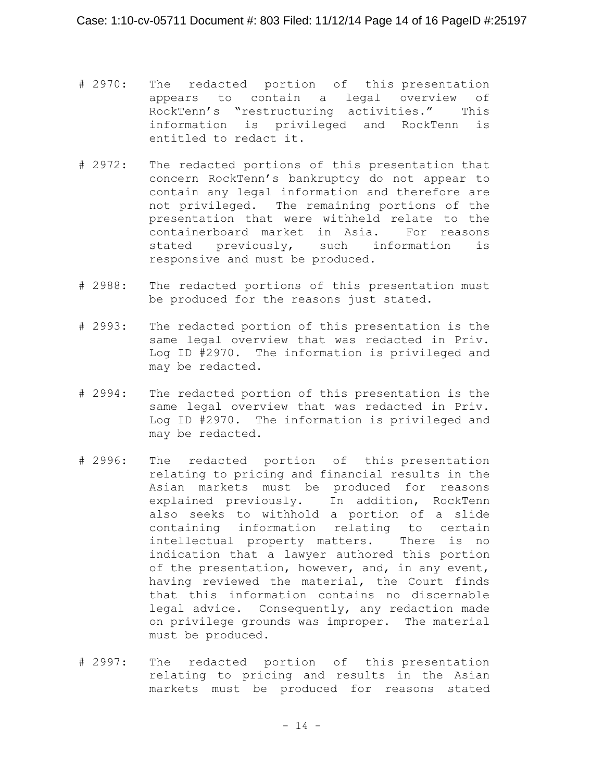- # 2970: The redacted portion of this presentation appears to contain a legal overview of RockTenn's "restructuring activities." This information is privileged and RockTenn is entitled to redact it.
- # 2972: The redacted portions of this presentation that concern RockTenn's bankruptcy do not appear to contain any legal information and therefore are not privileged. The remaining portions of the presentation that were withheld relate to the containerboard market in Asia. For reasons stated previously, such information is responsive and must be produced.
- # 2988: The redacted portions of this presentation must be produced for the reasons just stated.
- # 2993: The redacted portion of this presentation is the same legal overview that was redacted in Priv. Log ID #2970. The information is privileged and may be redacted.
- # 2994: The redacted portion of this presentation is the same legal overview that was redacted in Priv. Log ID #2970. The information is privileged and may be redacted.
- # 2996: The redacted portion of this presentation relating to pricing and financial results in the Asian markets must be produced for reasons explained previously. In addition, RockTenn also seeks to withhold a portion of a slide containing information relating to certain intellectual property matters. There is no indication that a lawyer authored this portion of the presentation, however, and, in any event, having reviewed the material, the Court finds that this information contains no discernable legal advice. Consequently, any redaction made on privilege grounds was improper. The material must be produced.
- # 2997: The redacted portion of this presentation relating to pricing and results in the Asian markets must be produced for reasons stated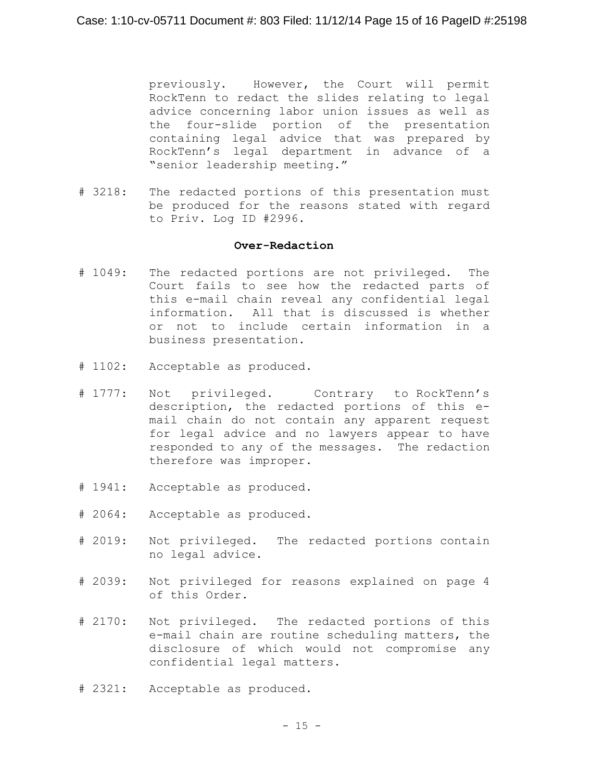previously. However, the Court will permit RockTenn to redact the slides relating to legal advice concerning labor union issues as well as the four-slide portion of the presentation containing legal advice that was prepared by RockTenn's legal department in advance of a "senior leadership meeting."

# 3218: The redacted portions of this presentation must be produced for the reasons stated with regard to Priv. Log ID #2996.

# **Over-Redaction**

- # 1049: The redacted portions are not privileged. The Court fails to see how the redacted parts of this e-mail chain reveal any confidential legal information. All that is discussed is whether or not to include certain information in a business presentation.
- # 1102: Acceptable as produced.
- # 1777: Not privileged. Contrary to RockTenn's description, the redacted portions of this email chain do not contain any apparent request for legal advice and no lawyers appear to have responded to any of the messages. The redaction therefore was improper.
- # 1941: Acceptable as produced.
- # 2064: Acceptable as produced.
- # 2019: Not privileged. The redacted portions contain no legal advice.
- # 2039: Not privileged for reasons explained on page 4 of this Order.
- # 2170: Not privileged. The redacted portions of this e-mail chain are routine scheduling matters, the disclosure of which would not compromise any confidential legal matters.
- # 2321: Acceptable as produced.